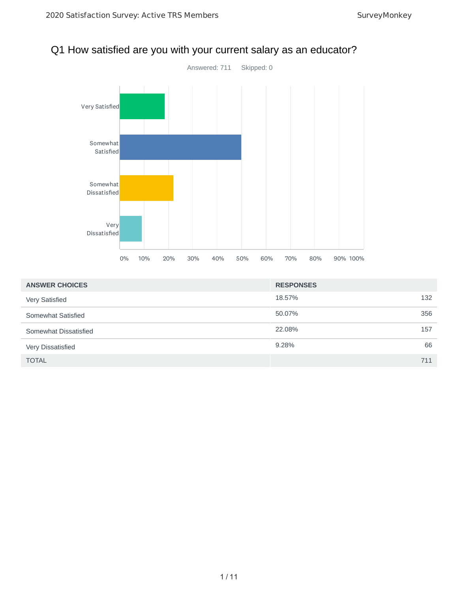

# Q1 How satisfied are you with your current salary as an educator?

| <b>ANSWER CHOICES</b> | <b>RESPONSES</b> |     |
|-----------------------|------------------|-----|
| Very Satisfied        | 18.57%           | 132 |
| Somewhat Satisfied    | 50.07%           | 356 |
| Somewhat Dissatisfied | 22.08%           | 157 |
| Very Dissatisfied     | 9.28%            | 66  |
| <b>TOTAL</b>          |                  | 711 |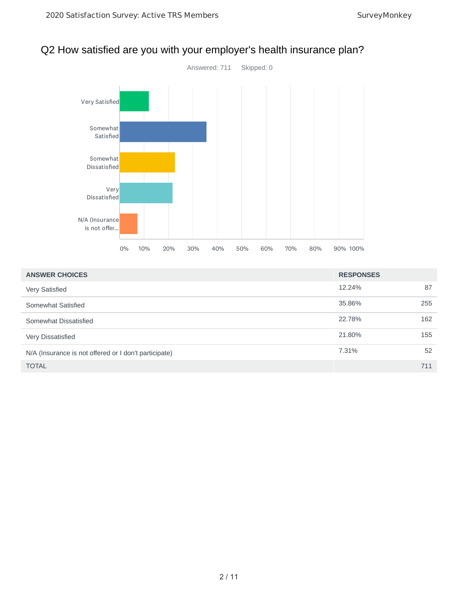

### Q2 How satisfied are you with your employer's health insurance plan?

| <b>ANSWER CHOICES</b>                                 | <b>RESPONSES</b> |     |
|-------------------------------------------------------|------------------|-----|
| Very Satisfied                                        | 12.24%           | 87  |
| Somewhat Satisfied                                    | 35.86%           | 255 |
| Somewhat Dissatisfied                                 | 22.78%           | 162 |
| Very Dissatisfied                                     | 21.80%           | 155 |
| N/A (Insurance is not offered or I don't participate) | 7.31%            | 52  |
| <b>TOTAL</b>                                          |                  | 711 |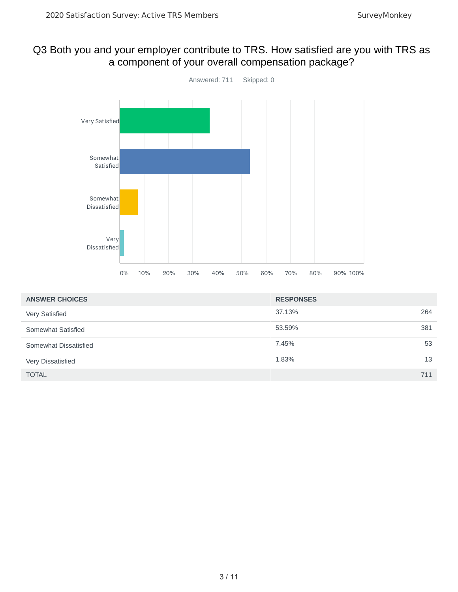#### Q3 Both you and your employer contribute to TRS. How satisfied are you with TRS as a component of your overall compensation package?



| <b>ANSWER CHOICES</b> | <b>RESPONSES</b> |    |
|-----------------------|------------------|----|
| Very Satisfied        | 37.13%<br>264    |    |
| Somewhat Satisfied    | 381<br>53.59%    |    |
| Somewhat Dissatisfied | 7.45%            | 53 |
| Very Dissatisfied     | 1.83%            | 13 |
| <b>TOTAL</b>          | 711              |    |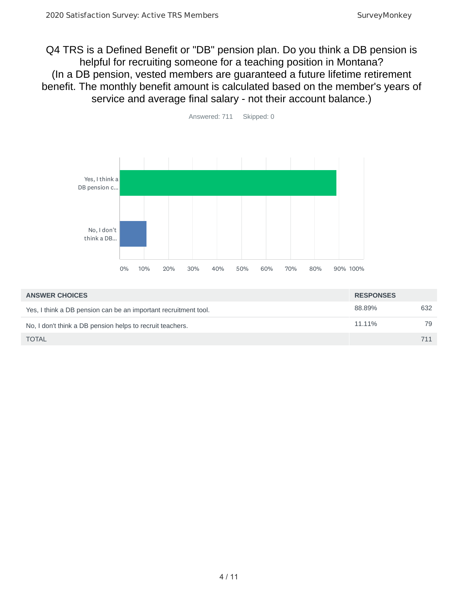Q4 TRS is a Defined Benefit or "DB" pension plan. Do you think a DB pension is helpful for recruiting someone for a teaching position in Montana? (In a DB pension, vested members are guaranteed a future lifetime retirement benefit. The monthly benefit amount is calculated based on the member's years of service and average final salary - not their account balance.)



| <b>ANSWER CHOICES</b>                                           | <b>RESPONSES</b> |     |
|-----------------------------------------------------------------|------------------|-----|
| Yes, I think a DB pension can be an important recruitment tool. | 88.89%           | 632 |
| No. I don't think a DB pension helps to recruit teachers.       | 11.11%           | 79  |
| <b>TOTAL</b>                                                    |                  |     |

Answered: 711 Skipped: 0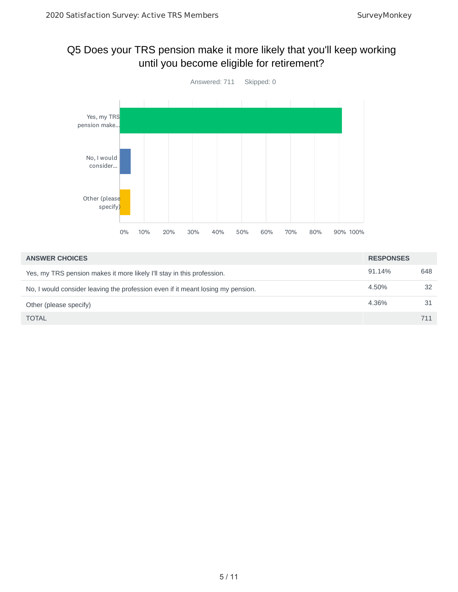## Q5 Does your TRS pension make it more likely that you'll keep working until you become eligible for retirement?



| <b>ANSWER CHOICES</b>                                                           | <b>RESPONSES</b> |     |
|---------------------------------------------------------------------------------|------------------|-----|
| Yes, my TRS pension makes it more likely I'll stay in this profession.          | 91.14%           | 648 |
| No, I would consider leaving the profession even if it meant losing my pension. | 4.50%            | 32  |
| Other (please specify)                                                          | 4.36%            | 31  |
| <b>TOTAL</b>                                                                    |                  | 711 |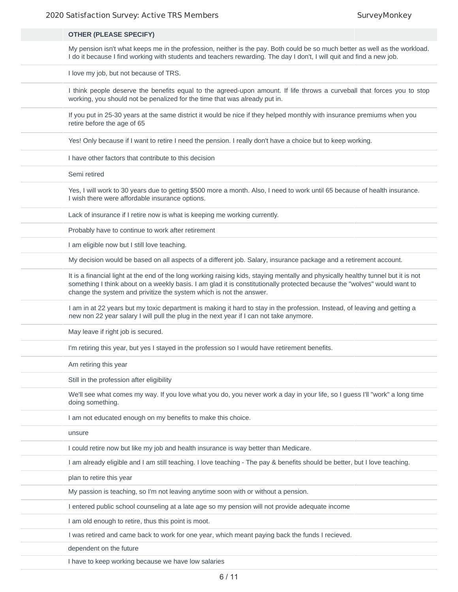| <b>OTHER (PLEASE SPECIFY)</b>                                                                                                                                                                                                                                                                                                        |
|--------------------------------------------------------------------------------------------------------------------------------------------------------------------------------------------------------------------------------------------------------------------------------------------------------------------------------------|
| My pension isn't what keeps me in the profession, neither is the pay. Both could be so much better as well as the workload.<br>I do it because I find working with students and teachers rewarding. The day I don't, I will quit and find a new job.                                                                                 |
| I love my job, but not because of TRS.                                                                                                                                                                                                                                                                                               |
| I think people deserve the benefits equal to the agreed-upon amount. If life throws a curveball that forces you to stop<br>working, you should not be penalized for the time that was already put in.                                                                                                                                |
| If you put in 25-30 years at the same district it would be nice if they helped monthly with insurance premiums when you<br>retire before the age of 65                                                                                                                                                                               |
| Yes! Only because if I want to retire I need the pension. I really don't have a choice but to keep working.                                                                                                                                                                                                                          |
| I have other factors that contribute to this decision                                                                                                                                                                                                                                                                                |
| Semi retired                                                                                                                                                                                                                                                                                                                         |
| Yes, I will work to 30 years due to getting \$500 more a month. Also, I need to work until 65 because of health insurance.<br>I wish there were affordable insurance options.                                                                                                                                                        |
| Lack of insurance if I retire now is what is keeping me working currently.                                                                                                                                                                                                                                                           |
| Probably have to continue to work after retirement                                                                                                                                                                                                                                                                                   |
| I am eligible now but I still love teaching.                                                                                                                                                                                                                                                                                         |
| My decision would be based on all aspects of a different job. Salary, insurance package and a retirement account.                                                                                                                                                                                                                    |
| It is a financial light at the end of the long working raising kids, staying mentally and physically healthy tunnel but it is not<br>something I think about on a weekly basis. I am glad it is constitutionally protected because the "wolves" would want to<br>change the system and privitize the system which is not the answer. |
| I am in at 22 years but my toxic department is making it hard to stay in the profession. Instead, of leaving and getting a<br>new non 22 year salary I will pull the plug in the next year if I can not take anymore.                                                                                                                |
| May leave if right job is secured.                                                                                                                                                                                                                                                                                                   |
| I'm retiring this year, but yes I stayed in the profession so I would have retirement benefits.                                                                                                                                                                                                                                      |
| Am retiring this year                                                                                                                                                                                                                                                                                                                |
| Still in the profession after eligibility                                                                                                                                                                                                                                                                                            |
| We'll see what comes my way. If you love what you do, you never work a day in your life, so I guess I'll "work" a long time<br>doing something.                                                                                                                                                                                      |
| I am not educated enough on my benefits to make this choice.                                                                                                                                                                                                                                                                         |
| unsure                                                                                                                                                                                                                                                                                                                               |
| I could retire now but like my job and health insurance is way better than Medicare.                                                                                                                                                                                                                                                 |
| I am already eligible and I am still teaching. I love teaching - The pay & benefits should be better, but I love teaching.                                                                                                                                                                                                           |
| plan to retire this year                                                                                                                                                                                                                                                                                                             |
| My passion is teaching, so I'm not leaving anytime soon with or without a pension.                                                                                                                                                                                                                                                   |
| I entered public school counseling at a late age so my pension will not provide adequate income                                                                                                                                                                                                                                      |
| I am old enough to retire, thus this point is moot.                                                                                                                                                                                                                                                                                  |
| I was retired and came back to work for one year, which meant paying back the funds I recieved.                                                                                                                                                                                                                                      |
| dependent on the future                                                                                                                                                                                                                                                                                                              |
| I have to keep working because we have low salaries                                                                                                                                                                                                                                                                                  |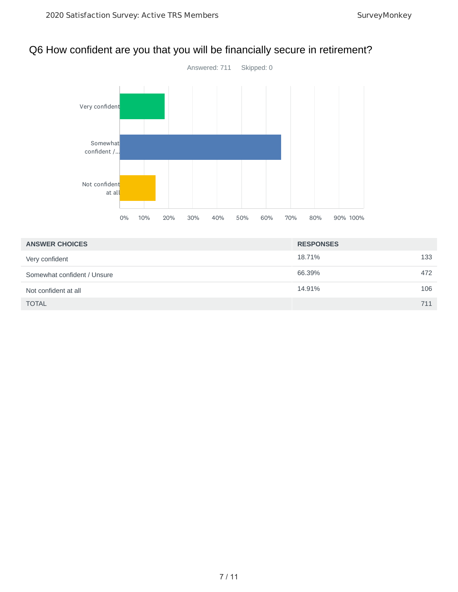### Q6 How confident are you that you will be financially secure in retirement?



| <b>ANSWER CHOICES</b>       | <b>RESPONSES</b> |     |
|-----------------------------|------------------|-----|
| Very confident              | 18.71%           | 133 |
| Somewhat confident / Unsure | 66.39%           | 472 |
| Not confident at all        | 14.91%           | 106 |
| <b>TOTAL</b>                |                  | 711 |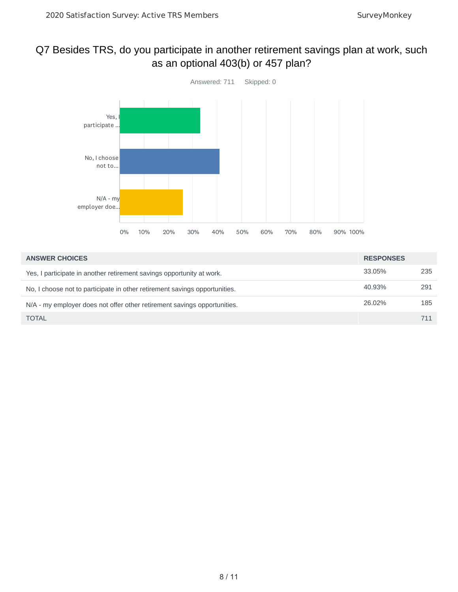## Q7 Besides TRS, do you participate in another retirement savings plan at work, such as an optional 403(b) or 457 plan?



| <b>ANSWER CHOICES</b>                                                      | <b>RESPONSES</b> |     |
|----------------------------------------------------------------------------|------------------|-----|
| Yes, I participate in another retirement savings opportunity at work.      | 33.05%           | 235 |
| No. I choose not to participate in other retirement savings opportunities. | 40.93%           | 291 |
| N/A - my employer does not offer other retirement savings opportunities.   | 26.02%           | 185 |
| <b>TOTAL</b>                                                               |                  | 711 |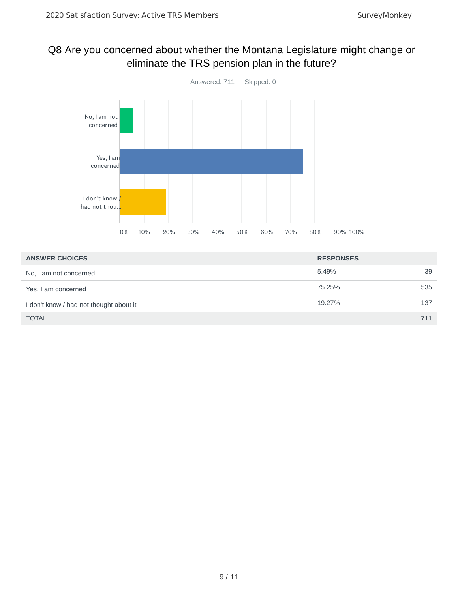## Q8 Are you concerned about whether the Montana Legislature might change or eliminate the TRS pension plan in the future?



| <b>ANSWER CHOICES</b>                   | <b>RESPONSES</b> |     |
|-----------------------------------------|------------------|-----|
| No, I am not concerned                  | 5.49%            | 39  |
| Yes, I am concerned                     | 75.25%           | 535 |
| I don't know / had not thought about it | 19.27%           | 137 |
| <b>TOTAL</b>                            |                  | 711 |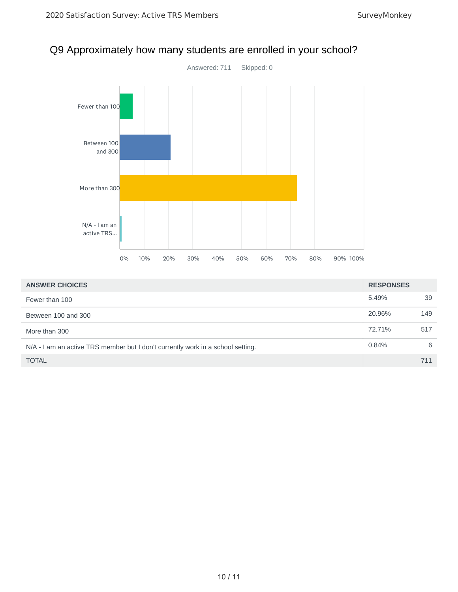

## Q9 Approximately how many students are enrolled in your school?

| <b>ANSWER CHOICES</b>                                                           | <b>RESPONSES</b> |     |
|---------------------------------------------------------------------------------|------------------|-----|
| Fewer than 100                                                                  | 5.49%            | 39  |
| Between 100 and 300                                                             | 20.96%           | 149 |
| More than 300                                                                   | 72.71%           | 517 |
| N/A - I am an active TRS member but I don't currently work in a school setting. | 0.84%            | 6   |
| <b>TOTAL</b>                                                                    |                  | 711 |